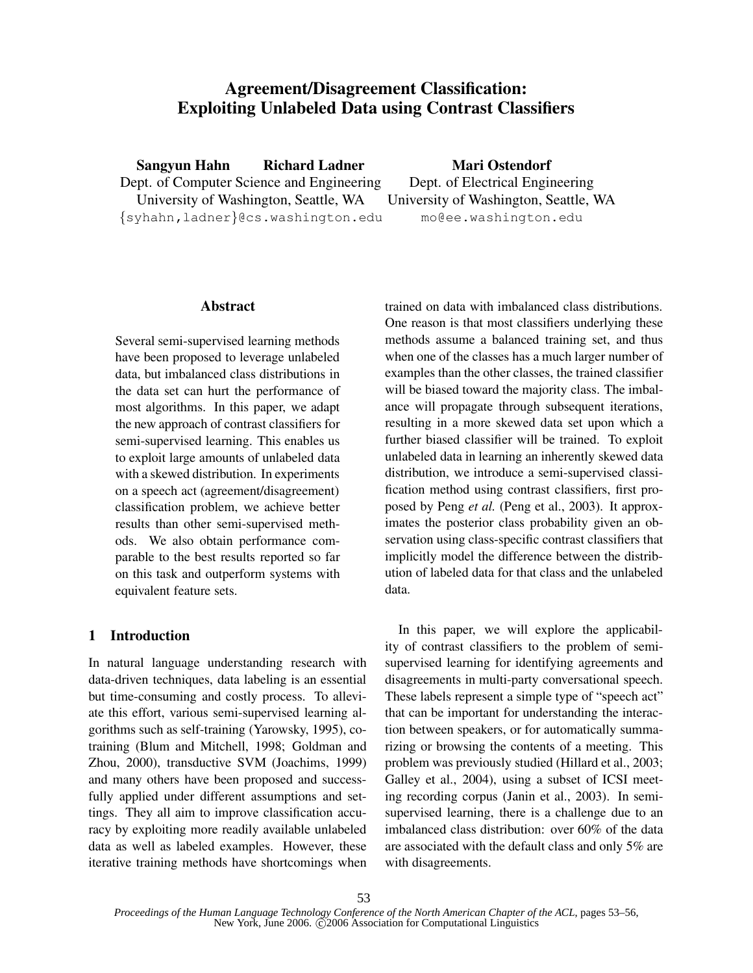# **Agreement/Disagreement Classification: Exploiting Unlabeled Data using Contrast Classifiers**

**Sangyun Hahn Richard Ladner**

Dept. of Computer Science and Engineering University of Washington, Seattle, WA {syhahn,ladner}@cs.washington.edu

**Mari Ostendorf** Dept. of Electrical Engineering

University of Washington, Seattle, WA mo@ee.washington.edu

# **Abstract**

Several semi-supervised learning methods have been proposed to leverage unlabeled data, but imbalanced class distributions in the data set can hurt the performance of most algorithms. In this paper, we adapt the new approach of contrast classifiers for semi-supervised learning. This enables us to exploit large amounts of unlabeled data with a skewed distribution. In experiments on a speech act (agreement/disagreement) classification problem, we achieve better results than other semi-supervised methods. We also obtain performance comparable to the best results reported so far on this task and outperform systems with equivalent feature sets.

# **1 Introduction**

In natural language understanding research with data-driven techniques, data labeling is an essential but time-consuming and costly process. To alleviate this effort, various semi-supervised learning algorithms such as self-training (Yarowsky, 1995), cotraining (Blum and Mitchell, 1998; Goldman and Zhou, 2000), transductive SVM (Joachims, 1999) and many others have been proposed and successfully applied under different assumptions and settings. They all aim to improve classification accuracy by exploiting more readily available unlabeled data as well as labeled examples. However, these iterative training methods have shortcomings when

trained on data with imbalanced class distributions. One reason is that most classifiers underlying these methods assume a balanced training set, and thus when one of the classes has a much larger number of examples than the other classes, the trained classifier will be biased toward the majority class. The imbalance will propagate through subsequent iterations, resulting in a more skewed data set upon which a further biased classifier will be trained. To exploit unlabeled data in learning an inherently skewed data distribution, we introduce a semi-supervised classification method using contrast classifiers, first proposed by Peng *et al.* (Peng et al., 2003). It approximates the posterior class probability given an observation using class-specific contrast classifiers that implicitly model the difference between the distribution of labeled data for that class and the unlabeled data.

In this paper, we will explore the applicability of contrast classifiers to the problem of semisupervised learning for identifying agreements and disagreements in multi-party conversational speech. These labels represent a simple type of "speech act" that can be important for understanding the interaction between speakers, or for automatically summarizing or browsing the contents of a meeting. This problem was previously studied (Hillard et al., 2003; Galley et al., 2004), using a subset of ICSI meeting recording corpus (Janin et al., 2003). In semisupervised learning, there is a challenge due to an imbalanced class distribution: over 60% of the data are associated with the default class and only 5% are with disagreements.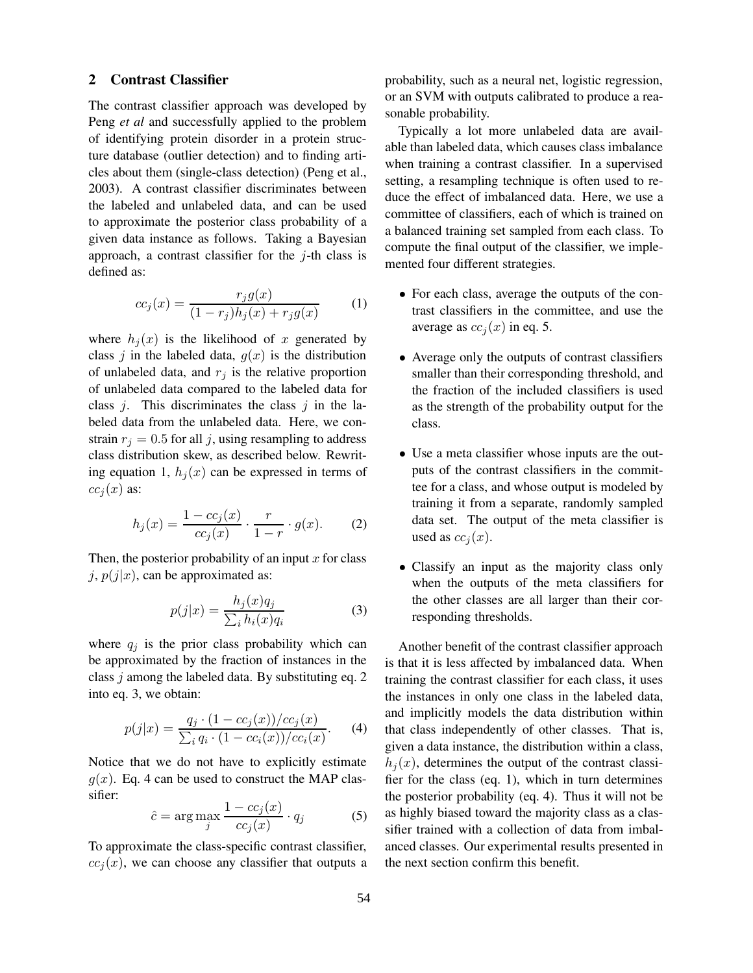# **2 Contrast Classifier**

The contrast classifier approach was developed by Peng *et al* and successfully applied to the problem of identifying protein disorder in a protein structure database (outlier detection) and to finding articles about them (single-class detection) (Peng et al., 2003). A contrast classifier discriminates between the labeled and unlabeled data, and can be used to approximate the posterior class probability of a given data instance as follows. Taking a Bayesian approach, a contrast classifier for the  $j$ -th class is defined as:

$$
cc_j(x) = \frac{r_j g(x)}{(1 - r_j)h_j(x) + r_j g(x)}\tag{1}
$$

where  $h_i(x)$  is the likelihood of x generated by class j in the labeled data,  $g(x)$  is the distribution of unlabeled data, and  $r_i$  is the relative proportion of unlabeled data compared to the labeled data for class  $j$ . This discriminates the class  $j$  in the labeled data from the unlabeled data. Here, we constrain  $r_j = 0.5$  for all j, using resampling to address class distribution skew, as described below. Rewriting equation 1,  $h_i(x)$  can be expressed in terms of  $cc<sub>i</sub>(x)$  as:

$$
h_j(x) = \frac{1 - cc_j(x)}{cc_j(x)} \cdot \frac{r}{1 - r} \cdot g(x).
$$
 (2)

Then, the posterior probability of an input  $x$  for class  $j, p(j|x)$ , can be approximated as:

$$
p(j|x) = \frac{h_j(x)q_j}{\sum_i h_i(x)q_i} \tag{3}
$$

where  $q_j$  is the prior class probability which can be approximated by the fraction of instances in the class j among the labeled data. By substituting eq. 2 into eq. 3, we obtain:

$$
p(j|x) = \frac{q_j \cdot (1 - cc_j(x))/cc_j(x)}{\sum_i q_i \cdot (1 - cc_i(x))/cc_i(x)}.
$$
 (4)

Notice that we do not have to explicitly estimate  $q(x)$ . Eq. 4 can be used to construct the MAP classifier:

$$
\hat{c} = \arg \max_{j} \frac{1 - cc_j(x)}{cc_j(x)} \cdot q_j \tag{5}
$$

To approximate the class-specific contrast classifier,  $cc<sub>i</sub>(x)$ , we can choose any classifier that outputs a probability, such as a neural net, logistic regression, or an SVM with outputs calibrated to produce a reasonable probability.

Typically a lot more unlabeled data are available than labeled data, which causes class imbalance when training a contrast classifier. In a supervised setting, a resampling technique is often used to reduce the effect of imbalanced data. Here, we use a committee of classifiers, each of which is trained on a balanced training set sampled from each class. To compute the final output of the classifier, we implemented four different strategies.

- For each class, average the outputs of the contrast classifiers in the committee, and use the average as  $cc<sub>i</sub>(x)$  in eq. 5.
- Average only the outputs of contrast classifiers smaller than their corresponding threshold, and the fraction of the included classifiers is used as the strength of the probability output for the class.
- Use a meta classifier whose inputs are the outputs of the contrast classifiers in the committee for a class, and whose output is modeled by training it from a separate, randomly sampled data set. The output of the meta classifier is used as  $cc<sub>i</sub>(x)$ .
- Classify an input as the majority class only when the outputs of the meta classifiers for the other classes are all larger than their corresponding thresholds.

Another benefit of the contrast classifier approach is that it is less affected by imbalanced data. When training the contrast classifier for each class, it uses the instances in only one class in the labeled data, and implicitly models the data distribution within that class independently of other classes. That is, given a data instance, the distribution within a class,  $h_i(x)$ , determines the output of the contrast classifier for the class (eq. 1), which in turn determines the posterior probability (eq. 4). Thus it will not be as highly biased toward the majority class as a classifier trained with a collection of data from imbalanced classes. Our experimental results presented in the next section confirm this benefit.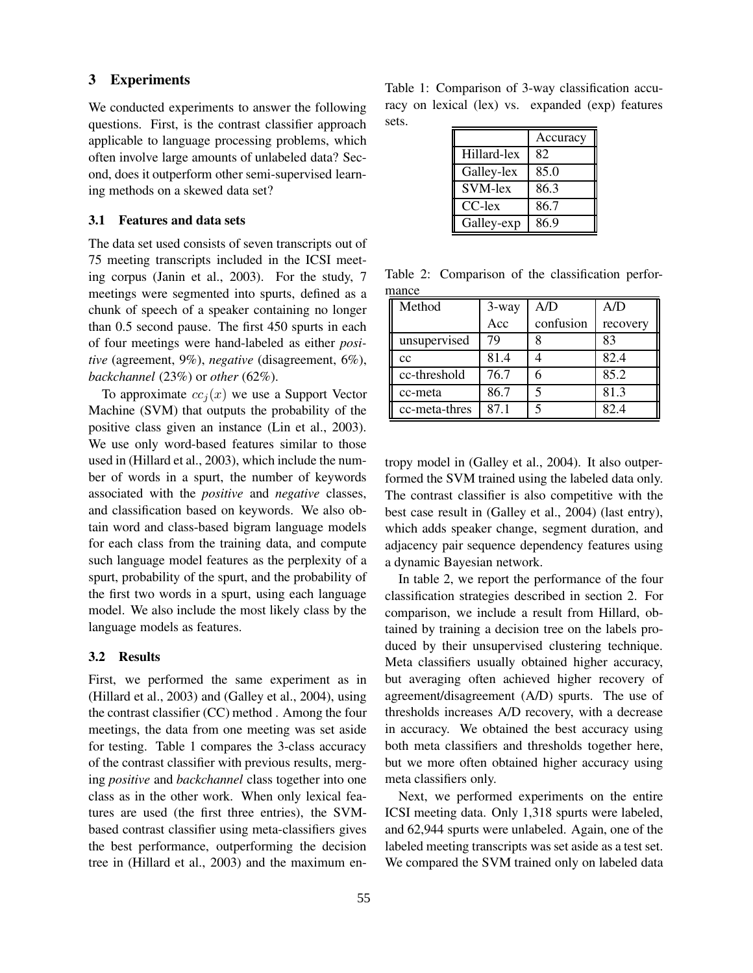# **3 Experiments**

We conducted experiments to answer the following questions. First, is the contrast classifier approach applicable to language processing problems, which often involve large amounts of unlabeled data? Second, does it outperform other semi-supervised learning methods on a skewed data set?

#### **3.1 Features and data sets**

The data set used consists of seven transcripts out of 75 meeting transcripts included in the ICSI meeting corpus (Janin et al., 2003). For the study, 7 meetings were segmented into spurts, defined as a chunk of speech of a speaker containing no longer than 0.5 second pause. The first 450 spurts in each of four meetings were hand-labeled as either *positive* (agreement, 9%), *negative* (disagreement, 6%), *backchannel* (23%) or *other* (62%).

To approximate  $cc<sub>i</sub>(x)$  we use a Support Vector Machine (SVM) that outputs the probability of the positive class given an instance (Lin et al., 2003). We use only word-based features similar to those used in (Hillard et al., 2003), which include the number of words in a spurt, the number of keywords associated with the *positive* and *negative* classes, and classification based on keywords. We also obtain word and class-based bigram language models for each class from the training data, and compute such language model features as the perplexity of a spurt, probability of the spurt, and the probability of the first two words in a spurt, using each language model. We also include the most likely class by the language models as features.

#### **3.2 Results**

First, we performed the same experiment as in (Hillard et al., 2003) and (Galley et al., 2004), using the contrast classifier (CC) method . Among the four meetings, the data from one meeting was set aside for testing. Table 1 compares the 3-class accuracy of the contrast classifier with previous results, merging *positive* and *backchannel* class together into one class as in the other work. When only lexical features are used (the first three entries), the SVMbased contrast classifier using meta-classifiers gives the best performance, outperforming the decision tree in (Hillard et al., 2003) and the maximum enTable 1: Comparison of 3-way classification accuracy on lexical (lex) vs. expanded (exp) features sets.

|             | Accuracy |
|-------------|----------|
| Hillard-lex | 82       |
| Galley-lex  | 85.0     |
| SVM-lex     | 86.3     |
| CC-lex      | 86.7     |
| Galley-exp  | 86 9     |

Table 2: Comparison of the classification performance

| Method        | 3-way | A/D       | A/D      |
|---------------|-------|-----------|----------|
|               | Acc   | confusion | recovery |
| unsupervised  | 79    |           | 83       |
| cc            | 81.4  |           | 82.4     |
| cc-threshold  | 76.7  |           | 85.2     |
| cc-meta       | 86.7  |           | 81.3     |
| cc-meta-thres | 87.1  |           | 82.4     |

tropy model in (Galley et al., 2004). It also outperformed the SVM trained using the labeled data only. The contrast classifier is also competitive with the best case result in (Galley et al., 2004) (last entry), which adds speaker change, segment duration, and adjacency pair sequence dependency features using a dynamic Bayesian network.

In table 2, we report the performance of the four classification strategies described in section 2. For comparison, we include a result from Hillard, obtained by training a decision tree on the labels produced by their unsupervised clustering technique. Meta classifiers usually obtained higher accuracy, but averaging often achieved higher recovery of agreement/disagreement (A/D) spurts. The use of thresholds increases A/D recovery, with a decrease in accuracy. We obtained the best accuracy using both meta classifiers and thresholds together here, but we more often obtained higher accuracy using meta classifiers only.

Next, we performed experiments on the entire ICSI meeting data. Only 1,318 spurts were labeled, and 62,944 spurts were unlabeled. Again, one of the labeled meeting transcripts was set aside as a test set. We compared the SVM trained only on labeled data